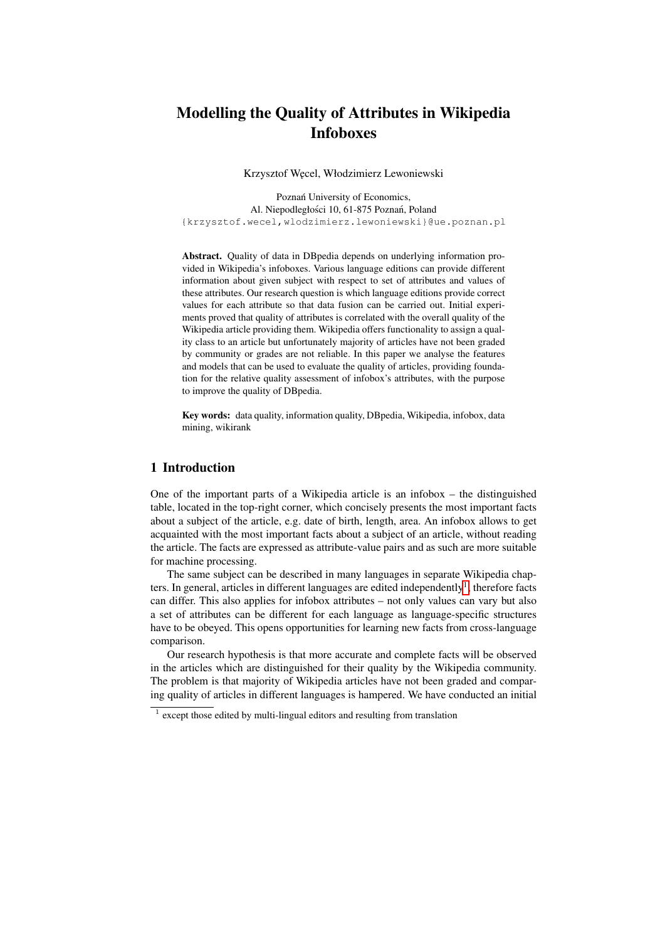# Modelling the Quality of Attributes in Wikipedia Infoboxes

Krzysztof W˛ecel, Włodzimierz Lewoniewski

Poznań University of Economics, Al. Niepodległości 10, 61-875 Poznań, Poland {krzysztof.wecel,wlodzimierz.lewoniewski}@ue.poznan.pl

Abstract. Quality of data in DBpedia depends on underlying information provided in Wikipedia's infoboxes. Various language editions can provide different information about given subject with respect to set of attributes and values of these attributes. Our research question is which language editions provide correct values for each attribute so that data fusion can be carried out. Initial experiments proved that quality of attributes is correlated with the overall quality of the Wikipedia article providing them. Wikipedia offers functionality to assign a quality class to an article but unfortunately majority of articles have not been graded by community or grades are not reliable. In this paper we analyse the features and models that can be used to evaluate the quality of articles, providing foundation for the relative quality assessment of infobox's attributes, with the purpose to improve the quality of DBpedia.

Key words: data quality, information quality, DBpedia, Wikipedia, infobox, data mining, wikirank

## 1 Introduction

One of the important parts of a Wikipedia article is an infobox – the distinguished table, located in the top-right corner, which concisely presents the most important facts about a subject of the article, e.g. date of birth, length, area. An infobox allows to get acquainted with the most important facts about a subject of an article, without reading the article. The facts are expressed as attribute-value pairs and as such are more suitable for machine processing.

The same subject can be described in many languages in separate Wikipedia chap-ters. In general, articles in different languages are edited independently<sup>[1](#page-0-0)</sup>, therefore facts can differ. This also applies for infobox attributes – not only values can vary but also a set of attributes can be different for each language as language-specific structures have to be obeyed. This opens opportunities for learning new facts from cross-language comparison.

Our research hypothesis is that more accurate and complete facts will be observed in the articles which are distinguished for their quality by the Wikipedia community. The problem is that majority of Wikipedia articles have not been graded and comparing quality of articles in different languages is hampered. We have conducted an initial

<span id="page-0-0"></span><sup>1</sup> except those edited by multi-lingual editors and resulting from translation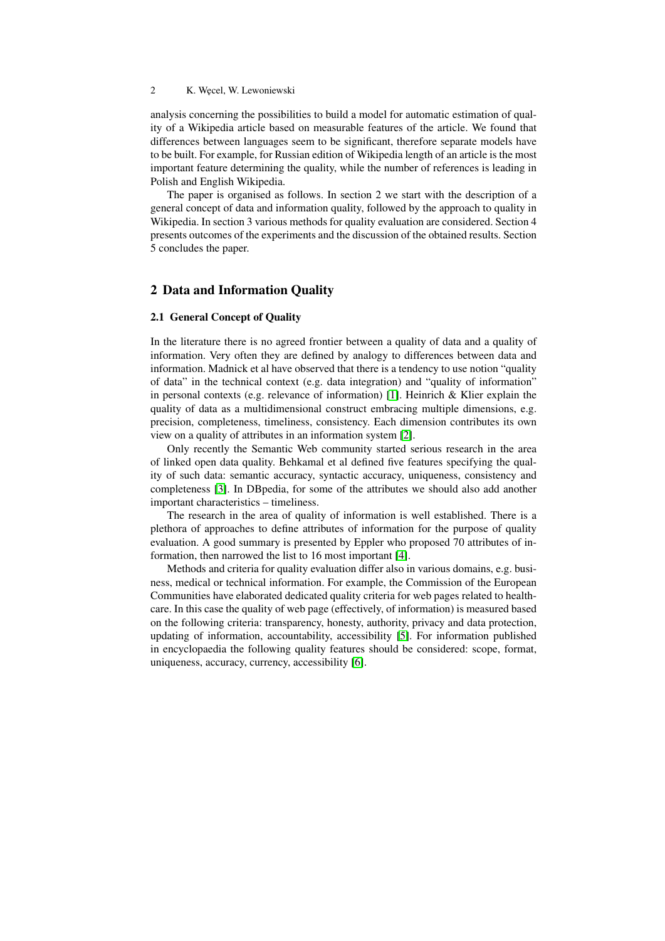#### 2 K. Węcel, W. Lewoniewski

analysis concerning the possibilities to build a model for automatic estimation of quality of a Wikipedia article based on measurable features of the article. We found that differences between languages seem to be significant, therefore separate models have to be built. For example, for Russian edition of Wikipedia length of an article is the most important feature determining the quality, while the number of references is leading in Polish and English Wikipedia.

The paper is organised as follows. In section 2 we start with the description of a general concept of data and information quality, followed by the approach to quality in Wikipedia. In section 3 various methods for quality evaluation are considered. Section 4 presents outcomes of the experiments and the discussion of the obtained results. Section 5 concludes the paper.

## 2 Data and Information Quality

#### 2.1 General Concept of Quality

In the literature there is no agreed frontier between a quality of data and a quality of information. Very often they are defined by analogy to differences between data and information. Madnick et al have observed that there is a tendency to use notion "quality of data" in the technical context (e.g. data integration) and "quality of information" in personal contexts (e.g. relevance of information) [\[1\]](#page-11-0). Heinrich & Klier explain the quality of data as a multidimensional construct embracing multiple dimensions, e.g. precision, completeness, timeliness, consistency. Each dimension contributes its own view on a quality of attributes in an information system [\[2\]](#page-11-1).

Only recently the Semantic Web community started serious research in the area of linked open data quality. Behkamal et al defined five features specifying the quality of such data: semantic accuracy, syntactic accuracy, uniqueness, consistency and completeness [\[3\]](#page-11-2). In DBpedia, for some of the attributes we should also add another important characteristics – timeliness.

The research in the area of quality of information is well established. There is a plethora of approaches to define attributes of information for the purpose of quality evaluation. A good summary is presented by Eppler who proposed 70 attributes of information, then narrowed the list to 16 most important [\[4\]](#page-11-3).

Methods and criteria for quality evaluation differ also in various domains, e.g. business, medical or technical information. For example, the Commission of the European Communities have elaborated dedicated quality criteria for web pages related to healthcare. In this case the quality of web page (effectively, of information) is measured based on the following criteria: transparency, honesty, authority, privacy and data protection, updating of information, accountability, accessibility [\[5\]](#page-11-4). For information published in encyclopaedia the following quality features should be considered: scope, format, uniqueness, accuracy, currency, accessibility [\[6\]](#page-11-5).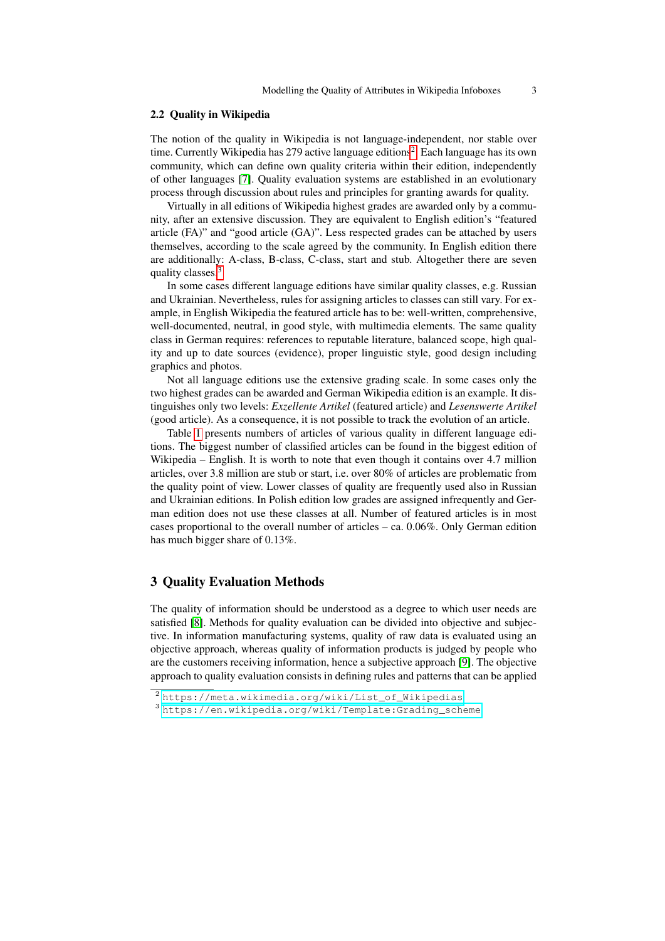#### 2.2 Quality in Wikipedia

The notion of the quality in Wikipedia is not language-independent, nor stable over time. Currently Wikipedia has [2](#page-2-0)79 active language editions<sup>2</sup>. Each language has its own community, which can define own quality criteria within their edition, independently of other languages [\[7\]](#page-11-6). Quality evaluation systems are established in an evolutionary process through discussion about rules and principles for granting awards for quality.

Virtually in all editions of Wikipedia highest grades are awarded only by a community, after an extensive discussion. They are equivalent to English edition's "featured article (FA)" and "good article (GA)". Less respected grades can be attached by users themselves, according to the scale agreed by the community. In English edition there are additionally: A-class, B-class, C-class, start and stub. Altogether there are seven quality classes.<sup>[3](#page-2-1)</sup>

In some cases different language editions have similar quality classes, e.g. Russian and Ukrainian. Nevertheless, rules for assigning articles to classes can still vary. For example, in English Wikipedia the featured article has to be: well-written, comprehensive, well-documented, neutral, in good style, with multimedia elements. The same quality class in German requires: references to reputable literature, balanced scope, high quality and up to date sources (evidence), proper linguistic style, good design including graphics and photos.

Not all language editions use the extensive grading scale. In some cases only the two highest grades can be awarded and German Wikipedia edition is an example. It distinguishes only two levels: *Exzellente Artikel* (featured article) and *Lesenswerte Artikel* (good article). As a consequence, it is not possible to track the evolution of an article.

Table [1](#page-3-0) presents numbers of articles of various quality in different language editions. The biggest number of classified articles can be found in the biggest edition of Wikipedia – English. It is worth to note that even though it contains over 4.7 million articles, over 3.8 million are stub or start, i.e. over 80% of articles are problematic from the quality point of view. Lower classes of quality are frequently used also in Russian and Ukrainian editions. In Polish edition low grades are assigned infrequently and German edition does not use these classes at all. Number of featured articles is in most cases proportional to the overall number of articles – ca. 0.06%. Only German edition has much bigger share of 0.13%.

# 3 Quality Evaluation Methods

The quality of information should be understood as a degree to which user needs are satisfied [\[8\]](#page-11-7). Methods for quality evaluation can be divided into objective and subjective. In information manufacturing systems, quality of raw data is evaluated using an objective approach, whereas quality of information products is judged by people who are the customers receiving information, hence a subjective approach [\[9\]](#page-11-8). The objective approach to quality evaluation consists in defining rules and patterns that can be applied

<span id="page-2-0"></span><sup>2</sup> [https://meta.wikimedia.org/wiki/List\\_of\\_Wikipedias](https://meta.wikimedia.org/wiki/List_of_Wikipedias)

<span id="page-2-1"></span><sup>3</sup> [https://en.wikipedia.org/wiki/Template:Grading\\_scheme](https://en.wikipedia.org/wiki/Template:Grading_scheme)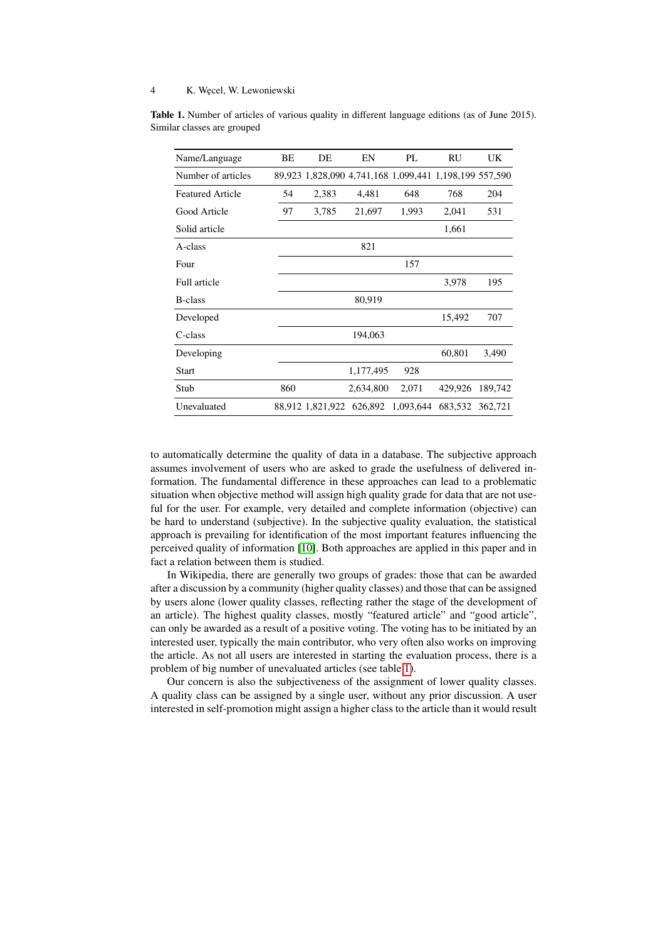#### 4 K. W˛ecel, W. Lewoniewski

| Name/Language           | BE  | DE                       | EN                                                     | PL        | <b>RU</b>       | UK      |
|-------------------------|-----|--------------------------|--------------------------------------------------------|-----------|-----------------|---------|
| Number of articles      |     |                          | 89,923 1,828,090 4,741,168 1,099,441 1,198,199 557,590 |           |                 |         |
| <b>Featured Article</b> | 54  | 2,383                    | 4,481                                                  | 648       | 768             | 204     |
| Good Article            | 97  | 3,785                    | 21,697                                                 | 1,993     | 2,041           | 531     |
| Solid article           |     |                          |                                                        |           | 1,661           |         |
| A-class                 |     |                          | 821                                                    |           |                 |         |
| Four                    |     |                          |                                                        | 157       |                 |         |
| Full article            |     |                          |                                                        |           | 3,978           | 195     |
| B-class                 |     |                          | 80,919                                                 |           |                 |         |
| Developed               |     |                          |                                                        |           | 15,492          | 707     |
| C-class                 |     |                          | 194,063                                                |           |                 |         |
| Developing              |     |                          |                                                        |           | 60,801          | 3,490   |
| <b>Start</b>            |     |                          | 1,177,495                                              | 928       |                 |         |
| Stub                    | 860 |                          | 2,634,800                                              | 2,071     | 429,926         | 189,742 |
| Unevaluated             |     | 88,912 1,821,922 626,892 |                                                        | 1,093,644 | 683,532 362,721 |         |

<span id="page-3-0"></span>Table 1. Number of articles of various quality in different language editions (as of June 2015). Similar classes are grouped

to automatically determine the quality of data in a database. The subjective approach assumes involvement of users who are asked to grade the usefulness of delivered information. The fundamental difference in these approaches can lead to a problematic situation when objective method will assign high quality grade for data that are not useful for the user. For example, very detailed and complete information (objective) can be hard to understand (subjective). In the subjective quality evaluation, the statistical approach is prevailing for identification of the most important features influencing the perceived quality of information [\[10\]](#page-11-9). Both approaches are applied in this paper and in fact a relation between them is studied.

In Wikipedia, there are generally two groups of grades: those that can be awarded after a discussion by a community (higher quality classes) and those that can be assigned by users alone (lower quality classes, reflecting rather the stage of the development of an article). The highest quality classes, mostly "featured article" and "good article", can only be awarded as a result of a positive voting. The voting has to be initiated by an interested user, typically the main contributor, who very often also works on improving the article. As not all users are interested in starting the evaluation process, there is a problem of big number of unevaluated articles (see table [1\)](#page-3-0).

Our concern is also the subjectiveness of the assignment of lower quality classes. A quality class can be assigned by a single user, without any prior discussion. A user interested in self-promotion might assign a higher class to the article than it would result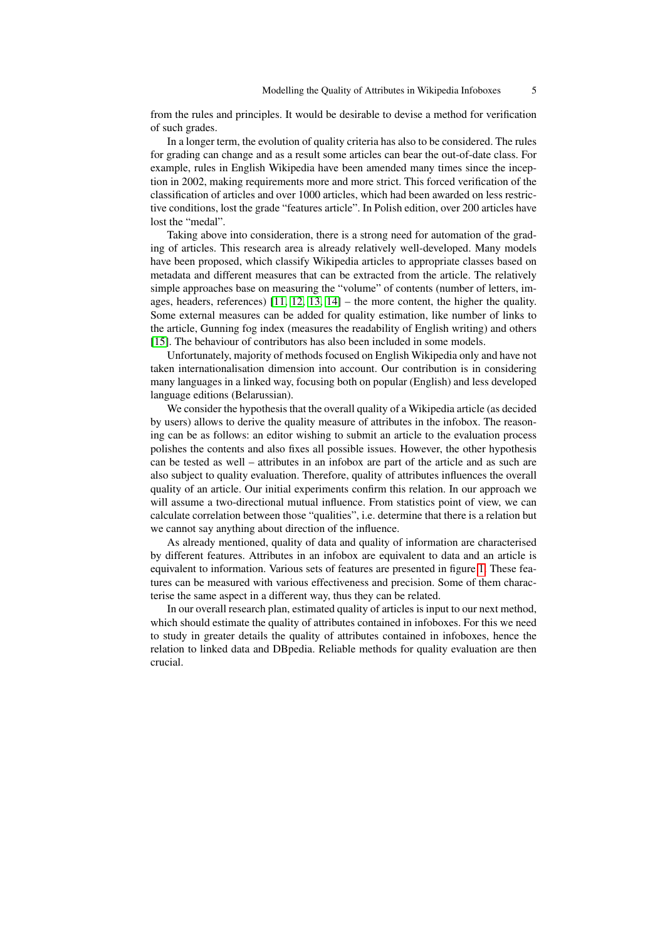from the rules and principles. It would be desirable to devise a method for verification of such grades.

In a longer term, the evolution of quality criteria has also to be considered. The rules for grading can change and as a result some articles can bear the out-of-date class. For example, rules in English Wikipedia have been amended many times since the inception in 2002, making requirements more and more strict. This forced verification of the classification of articles and over 1000 articles, which had been awarded on less restrictive conditions, lost the grade "features article". In Polish edition, over 200 articles have lost the "medal".

Taking above into consideration, there is a strong need for automation of the grading of articles. This research area is already relatively well-developed. Many models have been proposed, which classify Wikipedia articles to appropriate classes based on metadata and different measures that can be extracted from the article. The relatively simple approaches base on measuring the "volume" of contents (number of letters, images, headers, references) [\[11,](#page-11-10) [12,](#page-11-11) [13,](#page-11-12) [14\]](#page-11-13) – the more content, the higher the quality. Some external measures can be added for quality estimation, like number of links to the article, Gunning fog index (measures the readability of English writing) and others [\[15\]](#page-11-14). The behaviour of contributors has also been included in some models.

Unfortunately, majority of methods focused on English Wikipedia only and have not taken internationalisation dimension into account. Our contribution is in considering many languages in a linked way, focusing both on popular (English) and less developed language editions (Belarussian).

We consider the hypothesis that the overall quality of a Wikipedia article (as decided by users) allows to derive the quality measure of attributes in the infobox. The reasoning can be as follows: an editor wishing to submit an article to the evaluation process polishes the contents and also fixes all possible issues. However, the other hypothesis can be tested as well – attributes in an infobox are part of the article and as such are also subject to quality evaluation. Therefore, quality of attributes influences the overall quality of an article. Our initial experiments confirm this relation. In our approach we will assume a two-directional mutual influence. From statistics point of view, we can calculate correlation between those "qualities", i.e. determine that there is a relation but we cannot say anything about direction of the influence.

As already mentioned, quality of data and quality of information are characterised by different features. Attributes in an infobox are equivalent to data and an article is equivalent to information. Various sets of features are presented in figure [1.](#page-5-0) These features can be measured with various effectiveness and precision. Some of them characterise the same aspect in a different way, thus they can be related.

In our overall research plan, estimated quality of articles is input to our next method, which should estimate the quality of attributes contained in infoboxes. For this we need to study in greater details the quality of attributes contained in infoboxes, hence the relation to linked data and DBpedia. Reliable methods for quality evaluation are then crucial.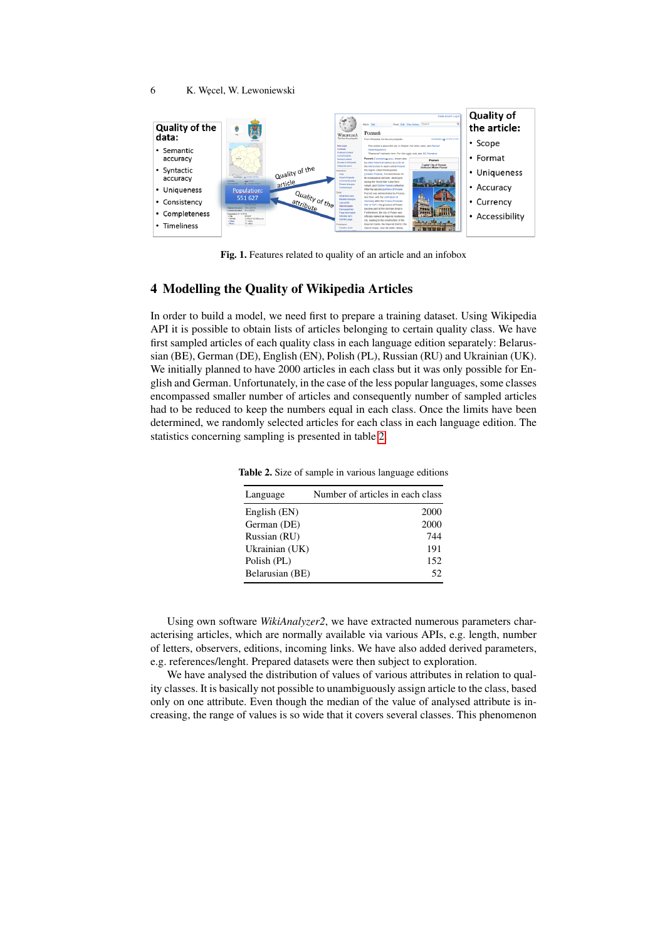#### 6 K. W˛ecel, W. Lewoniewski



Fig. 1. Features related to quality of an article and an infobox

## <span id="page-5-0"></span>4 Modelling the Quality of Wikipedia Articles

In order to build a model, we need first to prepare a training dataset. Using Wikipedia API it is possible to obtain lists of articles belonging to certain quality class. We have first sampled articles of each quality class in each language edition separately: Belarussian (BE), German (DE), English (EN), Polish (PL), Russian (RU) and Ukrainian (UK). We initially planned to have 2000 articles in each class but it was only possible for English and German. Unfortunately, in the case of the less popular languages, some classes encompassed smaller number of articles and consequently number of sampled articles had to be reduced to keep the numbers equal in each class. Once the limits have been determined, we randomly selected articles for each class in each language edition. The statistics concerning sampling is presented in table [2.](#page-5-1)

<span id="page-5-1"></span>

| Language        | Number of articles in each class |
|-----------------|----------------------------------|
| English (EN)    | 2000                             |
| German (DE)     | 2000                             |
| Russian (RU)    | 744                              |
| Ukrainian (UK)  | 191                              |
| Polish (PL)     | 152                              |
| Belarusian (BE) | 52                               |

Table 2. Size of sample in various language editions

Using own software *WikiAnalyzer2*, we have extracted numerous parameters characterising articles, which are normally available via various APIs, e.g. length, number of letters, observers, editions, incoming links. We have also added derived parameters, e.g. references/lenght. Prepared datasets were then subject to exploration.

We have analysed the distribution of values of various attributes in relation to quality classes. It is basically not possible to unambiguously assign article to the class, based only on one attribute. Even though the median of the value of analysed attribute is increasing, the range of values is so wide that it covers several classes. This phenomenon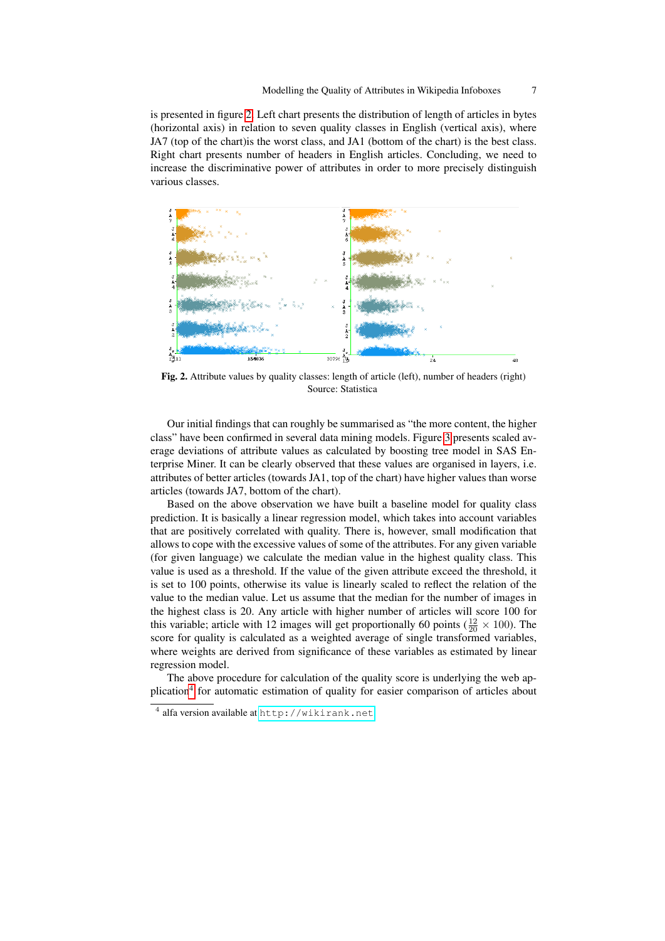is presented in figure [2.](#page-6-0) Left chart presents the distribution of length of articles in bytes (horizontal axis) in relation to seven quality classes in English (vertical axis), where JA7 (top of the chart)is the worst class, and JA1 (bottom of the chart) is the best class. Right chart presents number of headers in English articles. Concluding, we need to increase the discriminative power of attributes in order to more precisely distinguish various classes.



<span id="page-6-0"></span>Fig. 2. Attribute values by quality classes: length of article (left), number of headers (right) Source: Statistica

Our initial findings that can roughly be summarised as "the more content, the higher class" have been confirmed in several data mining models. Figure [3](#page-7-0) presents scaled average deviations of attribute values as calculated by boosting tree model in SAS Enterprise Miner. It can be clearly observed that these values are organised in layers, i.e. attributes of better articles (towards JA1, top of the chart) have higher values than worse articles (towards JA7, bottom of the chart).

Based on the above observation we have built a baseline model for quality class prediction. It is basically a linear regression model, which takes into account variables that are positively correlated with quality. There is, however, small modification that allows to cope with the excessive values of some of the attributes. For any given variable (for given language) we calculate the median value in the highest quality class. This value is used as a threshold. If the value of the given attribute exceed the threshold, it is set to 100 points, otherwise its value is linearly scaled to reflect the relation of the value to the median value. Let us assume that the median for the number of images in the highest class is 20. Any article with higher number of articles will score 100 for this variable; article with 12 images will get proportionally 60 points ( $\frac{12}{20} \times 100$ ). The score for quality is calculated as a weighted average of single transformed variables, where weights are derived from significance of these variables as estimated by linear regression model.

The above procedure for calculation of the quality score is underlying the web ap-plication<sup>[4](#page-6-1)</sup> for automatic estimation of quality for easier comparison of articles about

<span id="page-6-1"></span><sup>4</sup> alfa version available at <http://wikirank.net>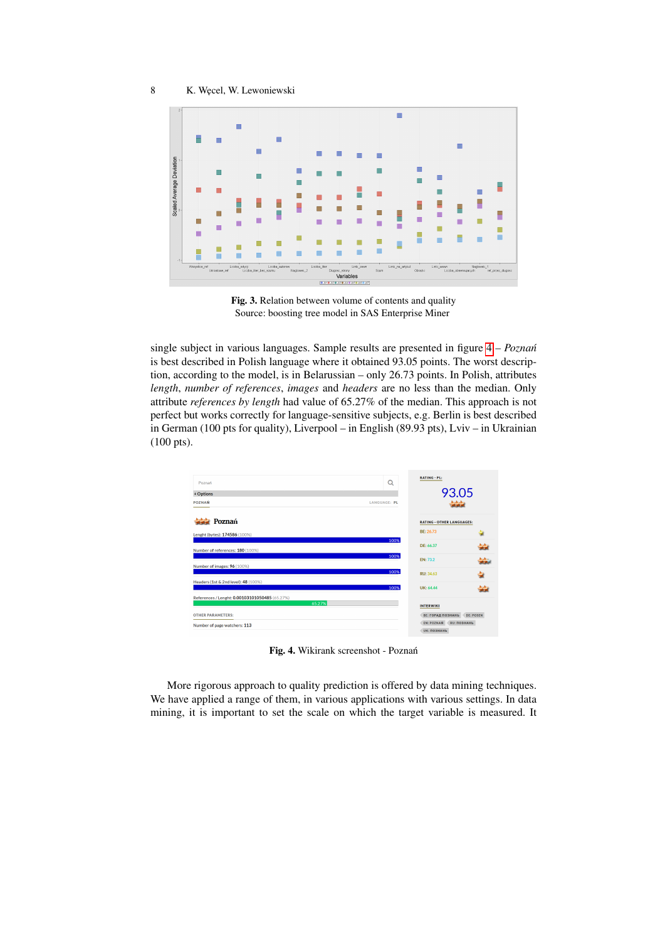

<span id="page-7-0"></span>Fig. 3. Relation between volume of contents and quality Source: boosting tree model in SAS Enterprise Miner

single subject in various languages. Sample results are presented in figure  $4 - P_{OZ}$ *nań* is best described in Polish language where it obtained 93.05 points. The worst description, according to the model, is in Belarussian – only 26.73 points. In Polish, attributes *length*, *number of references*, *images* and *headers* are no less than the median. Only attribute *references by length* had value of 65.27% of the median. This approach is not perfect but works correctly for language-sensitive subjects, e.g. Berlin is best described in German (100 pts for quality), Liverpool – in English (89.93 pts), Lviv – in Ukrainian (100 pts).



<span id="page-7-1"></span>Fig. 4. Wikirank screenshot - Poznań

More rigorous approach to quality prediction is offered by data mining techniques. We have applied a range of them, in various applications with various settings. In data mining, it is important to set the scale on which the target variable is measured. It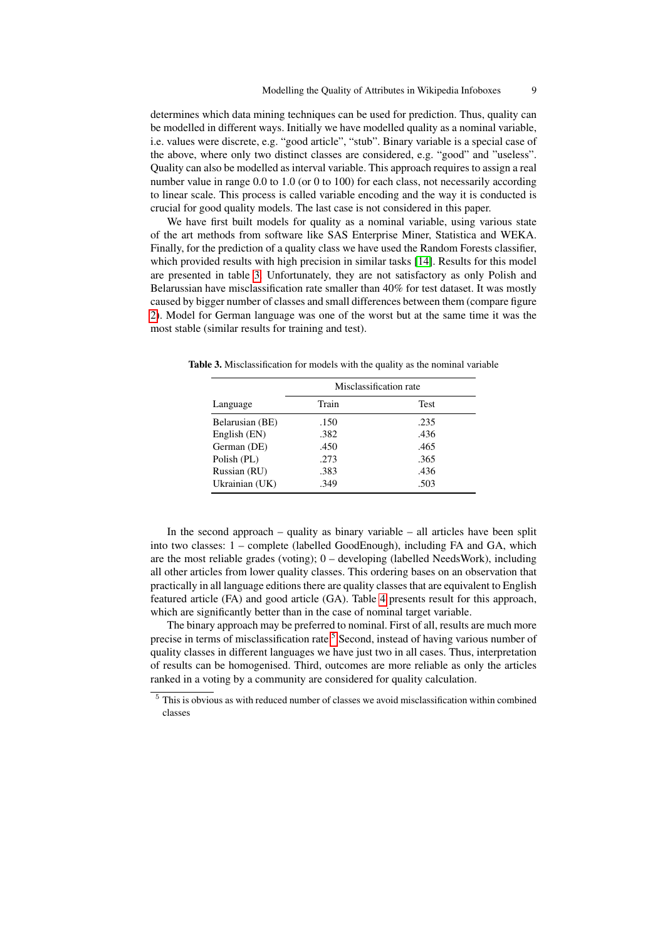determines which data mining techniques can be used for prediction. Thus, quality can be modelled in different ways. Initially we have modelled quality as a nominal variable, i.e. values were discrete, e.g. "good article", "stub". Binary variable is a special case of the above, where only two distinct classes are considered, e.g. "good" and "useless". Quality can also be modelled as interval variable. This approach requires to assign a real number value in range 0.0 to 1.0 (or 0 to 100) for each class, not necessarily according to linear scale. This process is called variable encoding and the way it is conducted is crucial for good quality models. The last case is not considered in this paper.

We have first built models for quality as a nominal variable, using various state of the art methods from software like SAS Enterprise Miner, Statistica and WEKA. Finally, for the prediction of a quality class we have used the Random Forests classifier, which provided results with high precision in similar tasks [\[14\]](#page-11-13). Results for this model are presented in table [3.](#page-8-0) Unfortunately, they are not satisfactory as only Polish and Belarussian have misclassification rate smaller than 40% for test dataset. It was mostly caused by bigger number of classes and small differences between them (compare figure [2\)](#page-6-0). Model for German language was one of the worst but at the same time it was the most stable (similar results for training and test).

<span id="page-8-0"></span>

|                 | Misclassification rate |             |  |  |
|-----------------|------------------------|-------------|--|--|
| Language        | Train                  | <b>Test</b> |  |  |
| Belarusian (BE) | .150                   | .235        |  |  |
| English (EN)    | .382                   | .436        |  |  |
| German (DE)     | .450                   | .465        |  |  |
| Polish (PL)     | .273                   | .365        |  |  |
| Russian (RU)    | .383                   | .436        |  |  |
| Ukrainian (UK)  | .349                   | .503        |  |  |

Table 3. Misclassification for models with the quality as the nominal variable

In the second approach – quality as binary variable – all articles have been split into two classes: 1 – complete (labelled GoodEnough), including FA and GA, which are the most reliable grades (voting);  $0 -$  developing (labelled NeedsWork), including all other articles from lower quality classes. This ordering bases on an observation that practically in all language editions there are quality classes that are equivalent to English featured article (FA) and good article (GA). Table [4](#page-9-0) presents result for this approach, which are significantly better than in the case of nominal target variable.

The binary approach may be preferred to nominal. First of all, results are much more precise in terms of misclassification rate.<sup>[5](#page-8-1)</sup> Second, instead of having various number of quality classes in different languages we have just two in all cases. Thus, interpretation of results can be homogenised. Third, outcomes are more reliable as only the articles ranked in a voting by a community are considered for quality calculation.

<span id="page-8-1"></span><sup>&</sup>lt;sup>5</sup> This is obvious as with reduced number of classes we avoid misclassification within combined classes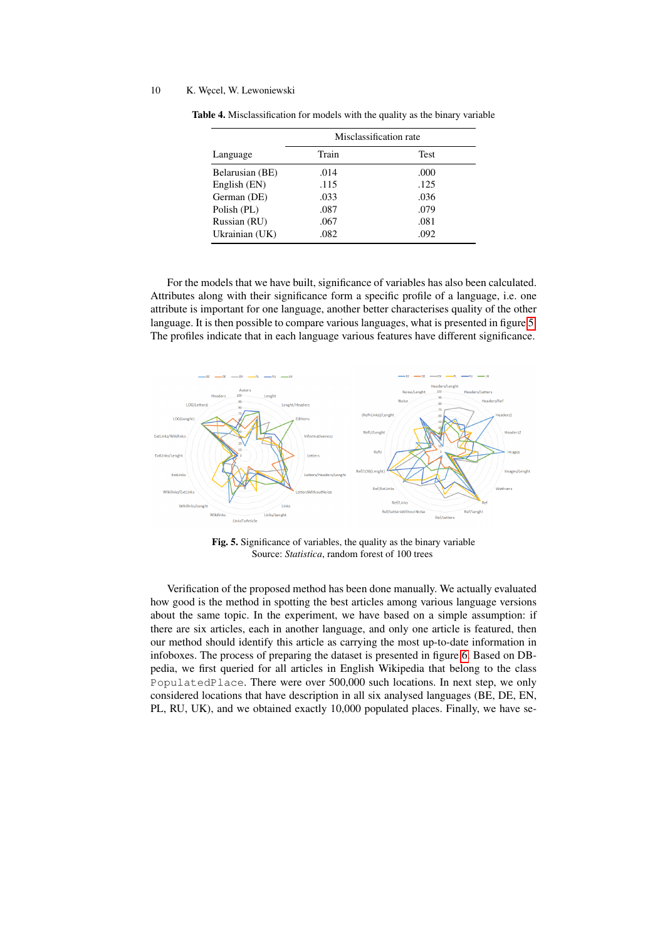#### 10 K. Węcel, W. Lewoniewski

<span id="page-9-0"></span>

|                 | Misclassification rate |             |  |  |
|-----------------|------------------------|-------------|--|--|
| Language        | Train                  | <b>Test</b> |  |  |
| Belarusian (BE) | .014                   | .000        |  |  |
| English (EN)    | .115                   | .125        |  |  |
| German (DE)     | .033                   | .036        |  |  |
| Polish (PL)     | .087                   | .079        |  |  |
| Russian (RU)    | .067                   | .081        |  |  |
| Ukrainian (UK)  | .082                   | .092        |  |  |

Table 4. Misclassification for models with the quality as the binary variable

For the models that we have built, significance of variables has also been calculated. Attributes along with their significance form a specific profile of a language, i.e. one attribute is important for one language, another better characterises quality of the other language. It is then possible to compare various languages, what is presented in figure [5.](#page-9-1) The profiles indicate that in each language various features have different significance.



<span id="page-9-1"></span>Fig. 5. Significance of variables, the quality as the binary variable Source: *Statistica*, random forest of 100 trees

Verification of the proposed method has been done manually. We actually evaluated how good is the method in spotting the best articles among various language versions about the same topic. In the experiment, we have based on a simple assumption: if there are six articles, each in another language, and only one article is featured, then our method should identify this article as carrying the most up-to-date information in infoboxes. The process of preparing the dataset is presented in figure [6.](#page-10-0) Based on DBpedia, we first queried for all articles in English Wikipedia that belong to the class PopulatedPlace. There were over 500,000 such locations. In next step, we only considered locations that have description in all six analysed languages (BE, DE, EN, PL, RU, UK), and we obtained exactly 10,000 populated places. Finally, we have se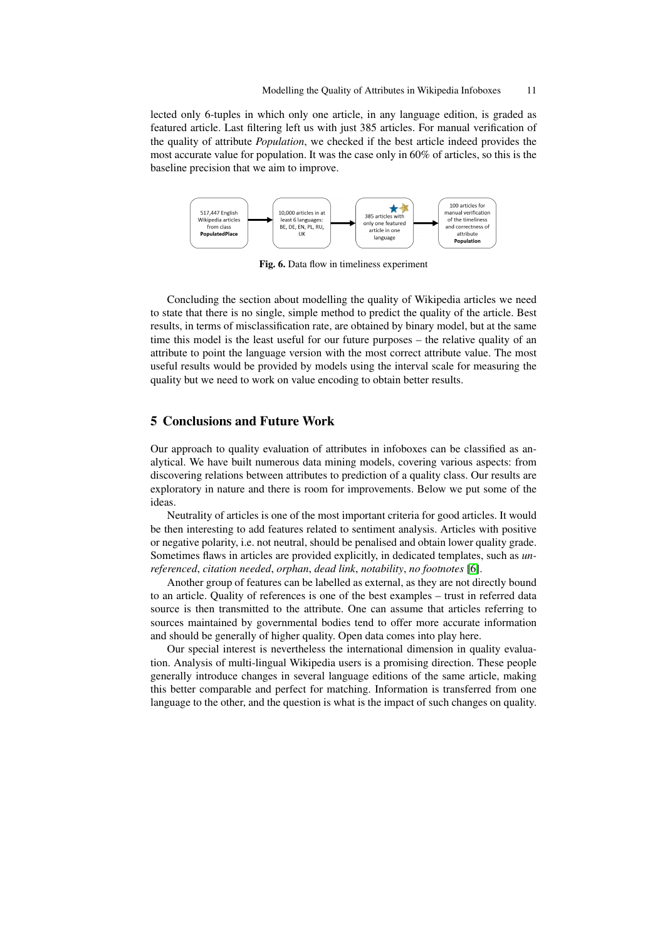lected only 6-tuples in which only one article, in any language edition, is graded as featured article. Last filtering left us with just 385 articles. For manual verification of the quality of attribute *Population*, we checked if the best article indeed provides the most accurate value for population. It was the case only in 60% of articles, so this is the baseline precision that we aim to improve.



<span id="page-10-0"></span>Fig. 6. Data flow in timeliness experiment

Concluding the section about modelling the quality of Wikipedia articles we need to state that there is no single, simple method to predict the quality of the article. Best results, in terms of misclassification rate, are obtained by binary model, but at the same time this model is the least useful for our future purposes – the relative quality of an attribute to point the language version with the most correct attribute value. The most useful results would be provided by models using the interval scale for measuring the quality but we need to work on value encoding to obtain better results.

## 5 Conclusions and Future Work

Our approach to quality evaluation of attributes in infoboxes can be classified as analytical. We have built numerous data mining models, covering various aspects: from discovering relations between attributes to prediction of a quality class. Our results are exploratory in nature and there is room for improvements. Below we put some of the ideas.

Neutrality of articles is one of the most important criteria for good articles. It would be then interesting to add features related to sentiment analysis. Articles with positive or negative polarity, i.e. not neutral, should be penalised and obtain lower quality grade. Sometimes flaws in articles are provided explicitly, in dedicated templates, such as *unreferenced*, *citation needed*, *orphan*, *dead link*, *notability*, *no footnotes* [\[6\]](#page-11-5).

Another group of features can be labelled as external, as they are not directly bound to an article. Quality of references is one of the best examples – trust in referred data source is then transmitted to the attribute. One can assume that articles referring to sources maintained by governmental bodies tend to offer more accurate information and should be generally of higher quality. Open data comes into play here.

Our special interest is nevertheless the international dimension in quality evaluation. Analysis of multi-lingual Wikipedia users is a promising direction. These people generally introduce changes in several language editions of the same article, making this better comparable and perfect for matching. Information is transferred from one language to the other, and the question is what is the impact of such changes on quality.